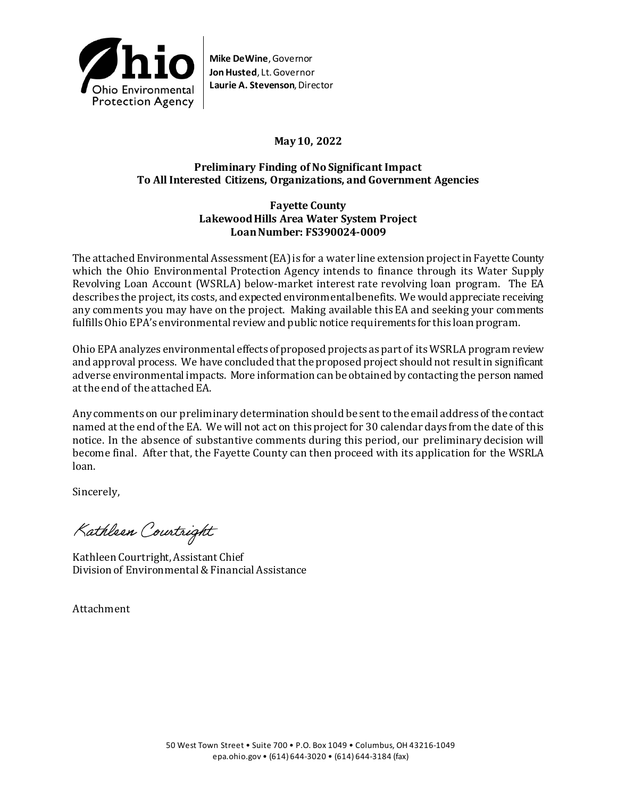

**Mike DeWine**, Governor **Jon Husted**, Lt. Governor **Laurie A. Stevenson**, Director

# **May 10, 2022**

# **Preliminary Finding of No Significant Impact To All Interested Citizens, Organizations, and Government Agencies**

# **Fayette County LakewoodHills Area Water System Project Loan Number: FS390024-0009**

The attached Environmental Assessment (EA) is for a water line extension projectin Fayette County which the Ohio Environmental Protection Agency intends to finance through its Water Supply Revolving Loan Account (WSRLA) below-market interest rate revolving loan program. The EA describes the project, its costs, and expected environmental benefits. We would appreciate receiving any comments you may have on the project. Making available this EA and seeking your comments fulfills Ohio EPA's environmental review and public notice requirements for this loan program.

Ohio EPA analyzes environmental effects of proposed projects as part of its WSRLA program review and approval process. We have concluded that the proposed project should not result in significant adverse environmental impacts. More information can be obtained by contacting the person named at the end of the attached EA.

Any comments on our preliminary determination should be sent to the email address of the contact named at the end of the EA. We will not act on this project for 30 calendar days from the date of this notice. In the absence of substantive comments during this period, our preliminary decision will become final. After that, the Fayette County can then proceed with its application for the WSRLA loan.

Sincerely,

Kathleen Courtright

Kathleen Courtright, Assistant Chief Division of Environmental & Financial Assistance

Attachment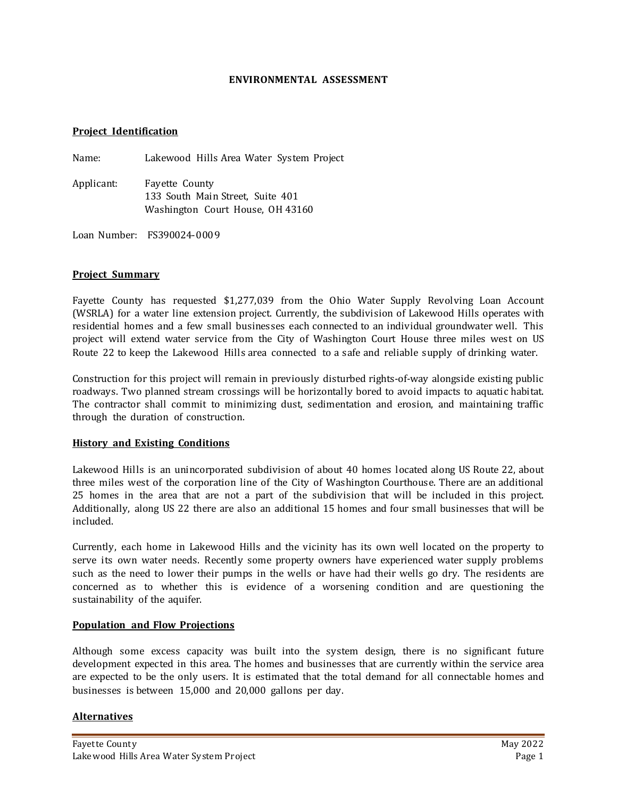### **ENVIRONMENTAL ASSESSMENT**

### **Project Identification**

Name: Lakewood Hills Area Water System Project

Applicant: Fayette County 133 South Main Street, Suite 401 Washington Court House, OH 43160

Loan Number: FS390024-0009

### **Project Summary**

Fayette County has requested \$1,277,039 from the Ohio Water Supply Revolving Loan Account (WSRLA) for a water line extension project. Currently, the subdivision of Lakewood Hills operates with residential homes and a few small businesses each connected to an individual groundwater well. This project will extend water service from the City of Washington Court House three miles west on US Route 22 to keep the Lakewood Hills area connected to a safe and reliable supply of drinking water.

Construction for this project will remain in previously disturbed rights-of-way alongside existing public roadways. Two planned stream crossings will be horizontally bored to avoid impacts to aquatic habitat. The contractor shall commit to minimizing dust, sedimentation and erosion, and maintaining traffic through the duration of construction.

### **History and Existing Conditions**

Lakewood Hills is an unincorporated subdivision of about 40 homes located along US Route 22, about three miles west of the corporation line of the City of Washington Courthouse. There are an additional 25 homes in the area that are not a part of the subdivision that will be included in this project. Additionally, along US 22 there are also an additional 15 homes and four small businesses that will be included.

Currently, each home in Lakewood Hills and the vicinity has its own well located on the property to serve its own water needs. Recently some property owners have experienced water supply problems such as the need to lower their pumps in the wells or have had their wells go dry. The residents are concerned as to whether this is evidence of a worsening condition and are questioning the sustainability of the aquifer.

#### **Population and Flow Projections**

Although some excess capacity was built into the system design, there is no significant future development expected in this area. The homes and businesses that are currently within the service area are expected to be the only users. It is estimated that the total demand for all connectable homes and businesses is between 15,000 and 20,000 gallons per day.

### **Alternatives**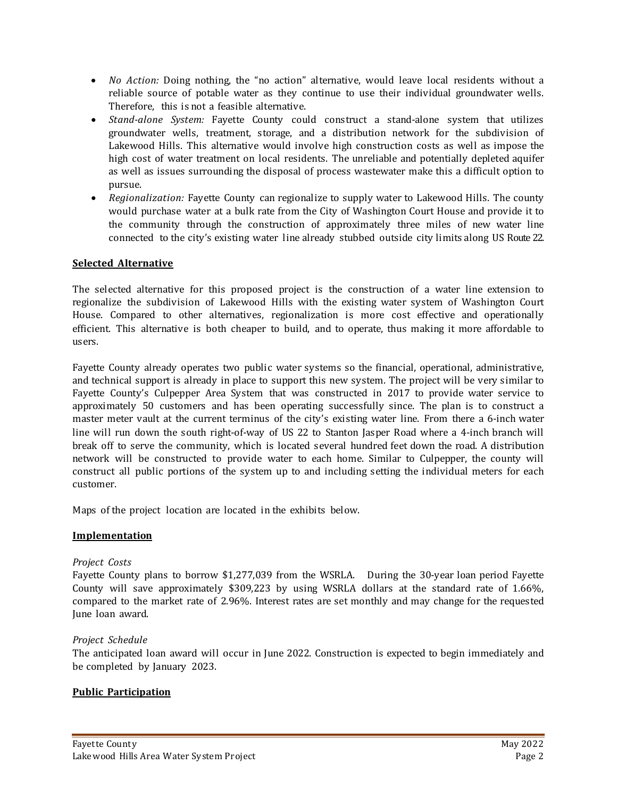- *No Action:* Doing nothing, the "no action" alternative, would leave local residents without a reliable source of potable water as they continue to use their individual groundwater wells. Therefore, this is not a feasible alternative.
- *Stand-alone System:* Fayette County could construct a stand-alone system that utilizes groundwater wells, treatment, storage, and a distribution network for the subdivision of Lakewood Hills. This alternative would involve high construction costs as well as impose the high cost of water treatment on local residents. The unreliable and potentially depleted aquifer as well as issues surrounding the disposal of process wastewater make this a difficult option to pursue.
- *Regionalization:* Fayette County can regionalize to supply water to Lakewood Hills. The county would purchase water at a bulk rate from the City of Washington Court House and provide it to the community through the construction of approximately three miles of new water line connected to the city's existing water line already stubbed outside city limits along US Route 22.

# **Selected Alternative**

The selected alternative for this proposed project is the construction of a water line extension to regionalize the subdivision of Lakewood Hills with the existing water system of Washington Court House. Compared to other alternatives, regionalization is more cost effective and operationally efficient. This alternative is both cheaper to build, and to operate, thus making it more affordable to users.

Fayette County already operates two public water systems so the financial, operational, administrative, and technical support is already in place to support this new system. The project will be very similar to Fayette County's Culpepper Area System that was constructed in 2017 to provide water service to approximately 50 customers and has been operating successfully since. The plan is to construct a master meter vault at the current terminus of the city's existing water line. From there a 6-inch water line will run down the south right-of-way of US 22 to Stanton Jasper Road where a 4-inch branch will break off to serve the community, which is located several hundred feet down the road. A distribution network will be constructed to provide water to each home. Similar to Culpepper, the county will construct all public portions of the system up to and including setting the individual meters for each customer.

Maps of the project location are located in the exhibits below.

# **Implementation**

# *Project Costs*

Fayette County plans to borrow \$1,277,039 from the WSRLA. During the 30-year loan period Fayette County will save approximately \$309,223 by using WSRLA dollars at the standard rate of 1.66%, compared to the market rate of 2.96%. Interest rates are set monthly and may change for the requested June loan award.

### *Project Schedule*

The anticipated loan award will occur in June 2022. Construction is expected to begin immediately and be completed by January 2023.

# **Public Participation**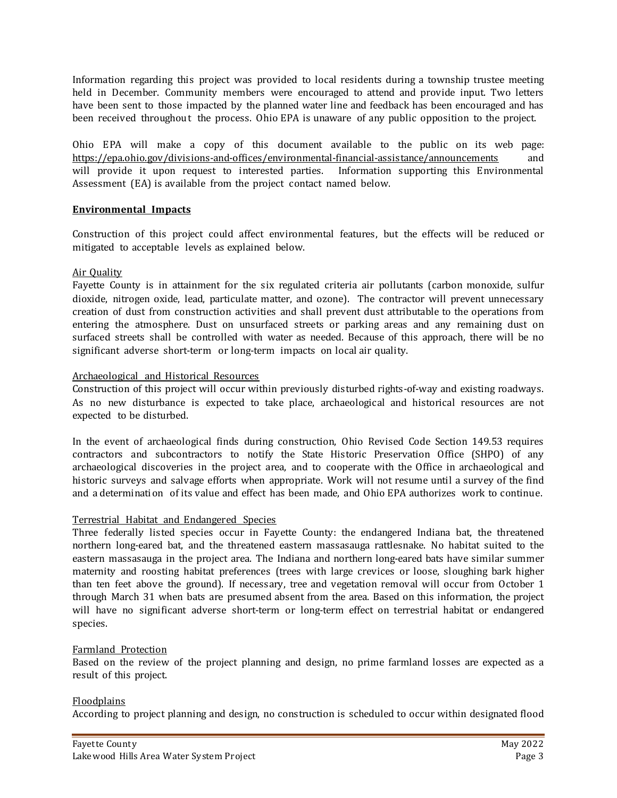Information regarding this project was provided to local residents during a township trustee meeting held in December. Community members were encouraged to attend and provide input. Two letters have been sent to those impacted by the planned water line and feedback has been encouraged and has been received throughout the process. Ohio EPA is unaware of any public opposition to the project.

Ohio EPA will make a copy of this document available to the public on its web page:<br>https://epa.ohio.gov/divisions-and-offices/environmental-financial-assistance/announcements and https://epa.ohio.gov/divisions-and-offices/environmental-financial-assistance/announcements and will provide it upon request to interested parties. Information supporting this Environmental Assessment (EA) is available from the project contact named below.

### **Environmental Impacts**

Construction of this project could affect environmental features, but the effects will be reduced or mitigated to acceptable levels as explained below.

### Air Quality

Fayette County is in attainment for the six regulated criteria air pollutants (carbon monoxide, sulfur dioxide, nitrogen oxide, lead, particulate matter, and ozone). The contractor will prevent unnecessary creation of dust from construction activities and shall prevent dust attributable to the operations from entering the atmosphere. Dust on unsurfaced streets or parking areas and any remaining dust on surfaced streets shall be controlled with water as needed. Because of this approach, there will be no significant adverse short-term or long-term impacts on local air quality.

### Archaeological and Historical Resources

Construction of this project will occur within previously disturbed rights-of-way and existing roadways. As no new disturbance is expected to take place, archaeological and historical resources are not expected to be disturbed.

In the event of archaeological finds during construction, Ohio Revised Code Section 149.53 requires contractors and subcontractors to notify the State Historic Preservation Office (SHPO) of any archaeological discoveries in the project area, and to cooperate with the Office in archaeological and historic surveys and salvage efforts when appropriate. Work will not resume until a survey of the find and a determination of its value and effect has been made, and Ohio EPA authorizes work to continue.

# Terrestrial Habitat and Endangered Species

Three federally listed species occur in Fayette County: the endangered Indiana bat, the threatened northern long-eared bat, and the threatened eastern massasauga rattlesnake. No habitat suited to the eastern massasauga in the project area. The Indiana and northern long-eared bats have similar summer maternity and roosting habitat preferences (trees with large crevices or loose, sloughing bark higher than ten feet above the ground). If necessary, tree and vegetation removal will occur from October 1 through March 31 when bats are presumed absent from the area. Based on this information, the project will have no significant adverse short-term or long-term effect on terrestrial habitat or endangered species.

# Farmland Protection

Based on the review of the project planning and design, no prime farmland losses are expected as a result of this project.

# Floodplains

According to project planning and design, no construction is scheduled to occur within designated flood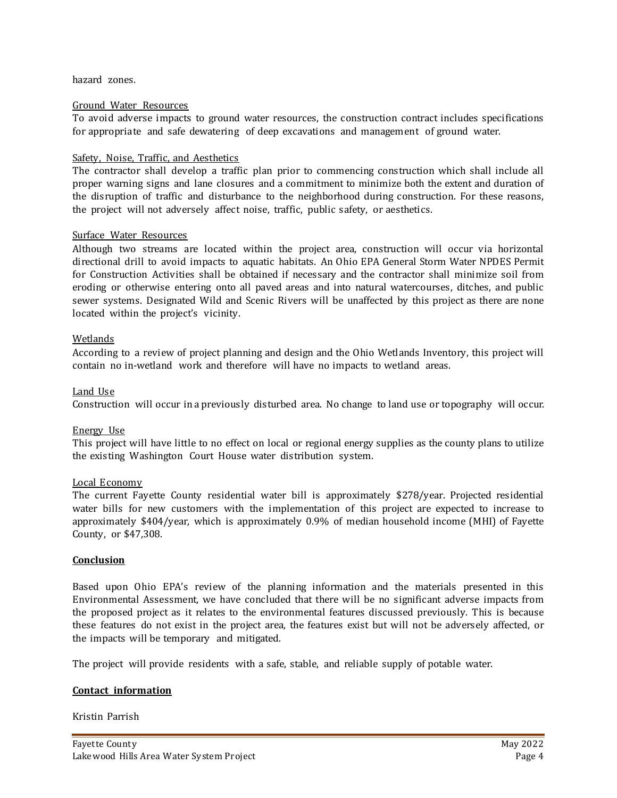hazard zones.

### Ground Water Resources

To avoid adverse impacts to ground water resources, the construction contract includes specifications for appropriate and safe dewatering of deep excavations and management of ground water.

### Safety, Noise, Traffic, and Aesthetics

The contractor shall develop a traffic plan prior to commencing construction which shall include all proper warning signs and lane closures and a commitment to minimize both the extent and duration of the disruption of traffic and disturbance to the neighborhood during construction. For these reasons, the project will not adversely affect noise, traffic, public safety, or aesthetics.

### Surface Water Resources

Although two streams are located within the project area, construction will occur via horizontal directional drill to avoid impacts to aquatic habitats. An Ohio EPA General Storm Water NPDES Permit for Construction Activities shall be obtained if necessary and the contractor shall minimize soil from eroding or otherwise entering onto all paved areas and into natural watercourses, ditches, and public sewer systems. Designated Wild and Scenic Rivers will be unaffected by this project as there are none located within the project's vicinity.

### Wetlands

According to a review of project planning and design and the Ohio Wetlands Inventory, this project will contain no in-wetland work and therefore will have no impacts to wetland areas.

### Land Use

Construction will occur in a previously disturbed area. No change to land use or topography will occur.

### Energy Use

This project will have little to no effect on local or regional energy supplies as the county plans to utilize the existing Washington Court House water distribution system.

### Local Economy

The current Fayette County residential water bill is approximately \$278/year. Projected residential water bills for new customers with the implementation of this project are expected to increase to approximately \$404/year, which is approximately 0.9% of median household income (MHI) of Fayette County, or \$47,308.

#### **Conclusion**

Based upon Ohio EPA's review of the planning information and the materials presented in this Environmental Assessment, we have concluded that there will be no significant adverse impacts from the proposed project as it relates to the environmental features discussed previously. This is because these features do not exist in the project area, the features exist but will not be adversely affected, or the impacts will be temporary and mitigated.

The project will provide residents with a safe, stable, and reliable supply of potable water.

### **Contact information**

Kristin Parrish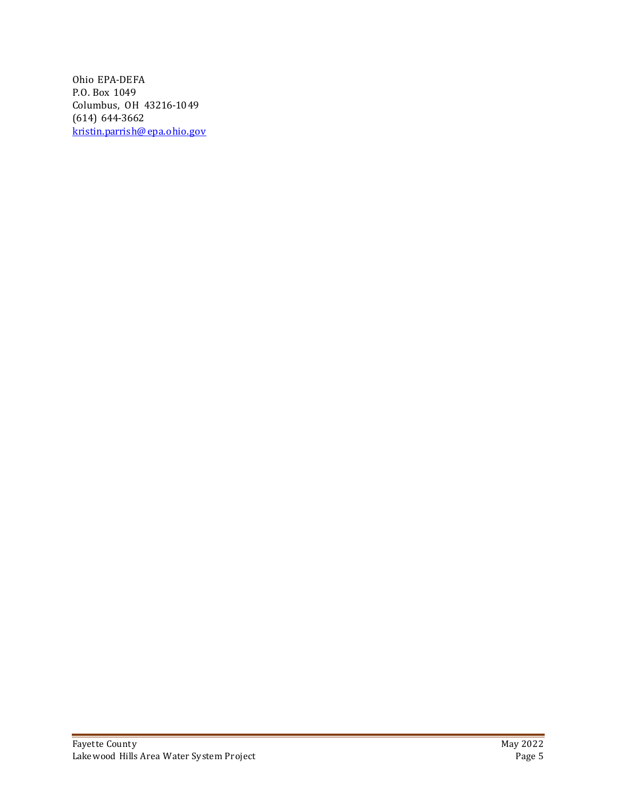Ohio EPA-DEFA P.O. Box 1049 Columbus, OH 43216-1049 (614) 644-3662 [kristin.parrish@ epa.ohio.gov](mailto:kristin.parrish@epa.ohio.gov)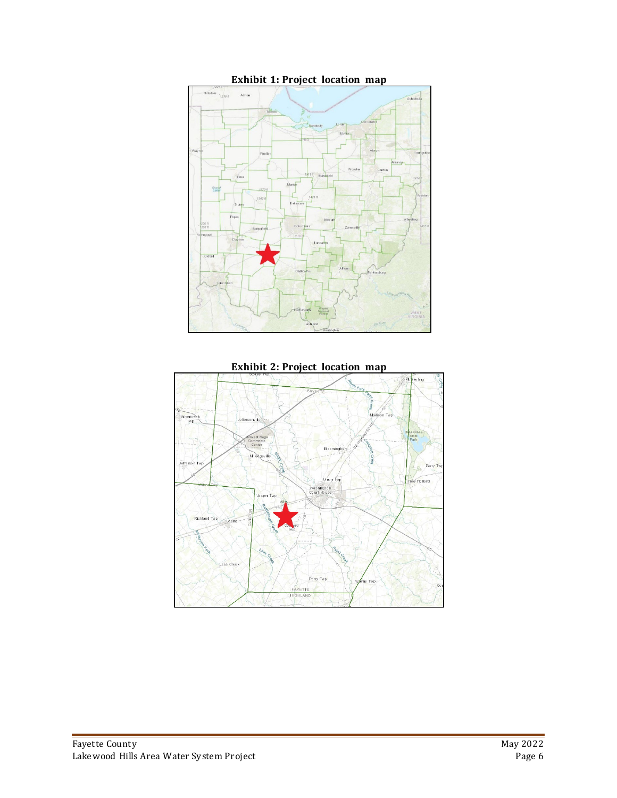